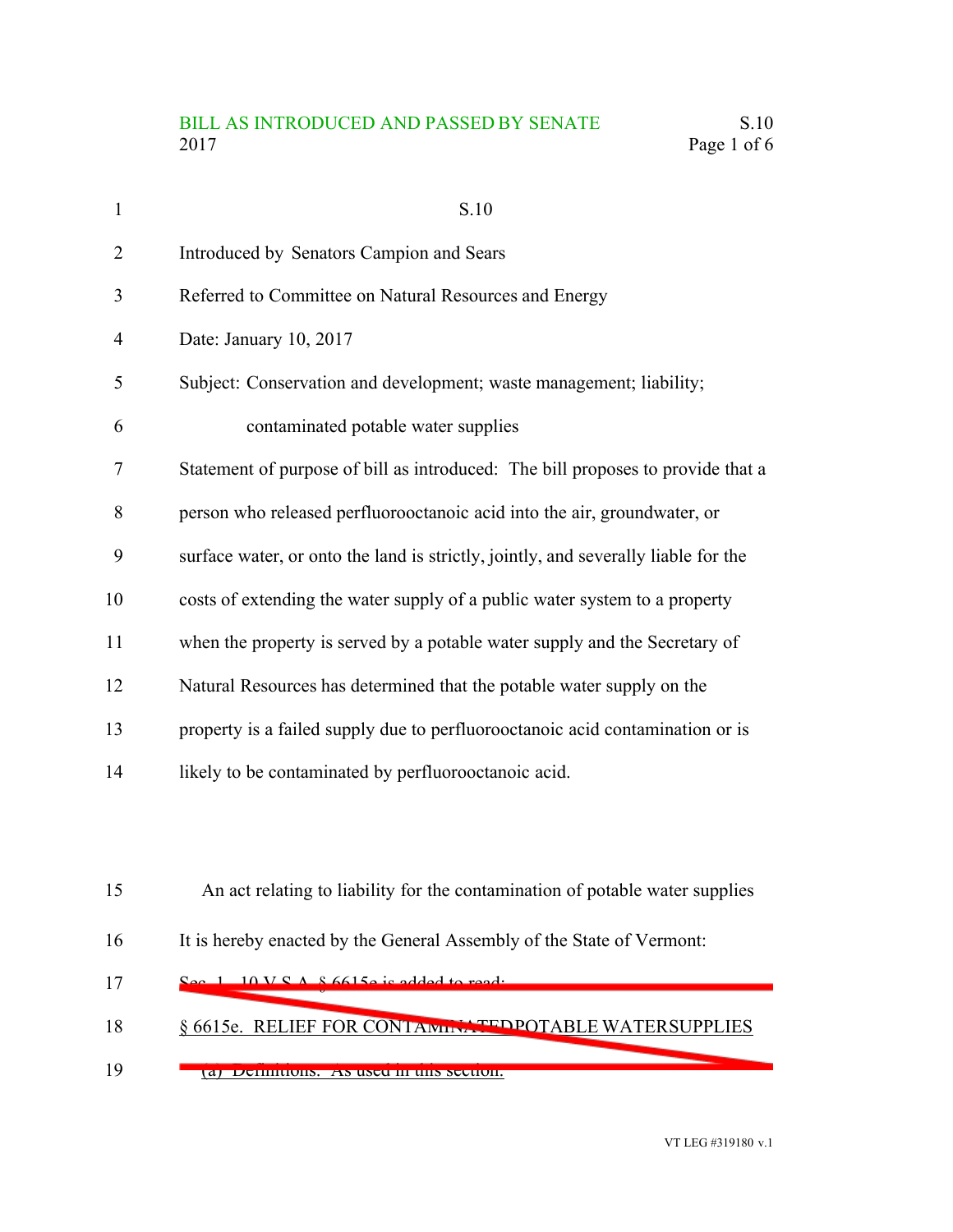## BILL AS INTRODUCED AND PASSED BY SENATE S.10 2017 Page 1 of 6

| $\mathbf{1}$   | S.10                                                                               |
|----------------|------------------------------------------------------------------------------------|
| $\overline{2}$ | Introduced by Senators Campion and Sears                                           |
| 3              | Referred to Committee on Natural Resources and Energy                              |
| $\overline{4}$ | Date: January 10, 2017                                                             |
| 5              | Subject: Conservation and development; waste management; liability;                |
| 6              | contaminated potable water supplies                                                |
| 7              | Statement of purpose of bill as introduced: The bill proposes to provide that a    |
| 8              | person who released perfluorooctanoic acid into the air, groundwater, or           |
| 9              | surface water, or onto the land is strictly, jointly, and severally liable for the |
| 10             | costs of extending the water supply of a public water system to a property         |
| 11             | when the property is served by a potable water supply and the Secretary of         |
| 12             | Natural Resources has determined that the potable water supply on the              |
| 13             | property is a failed supply due to perfluorooctanoic acid contamination or is      |
| 14             | likely to be contaminated by perfluorooctanoic acid.                               |
|                |                                                                                    |
|                |                                                                                    |
| 15             | An act relating to liability for the contamination of potable water supplies       |
| 16             | It is hereby enacted by the General Assembly of the State of Vermont:              |

- $S_{\rho}$  1. 10 V.S.A.  $\&$  6615e is added to read: § 6615e. RELIEF FOR CONTAMINATEDPOTABLE WATERSUPPLIES 17 18
- (a) Definitions. As used in this section: 19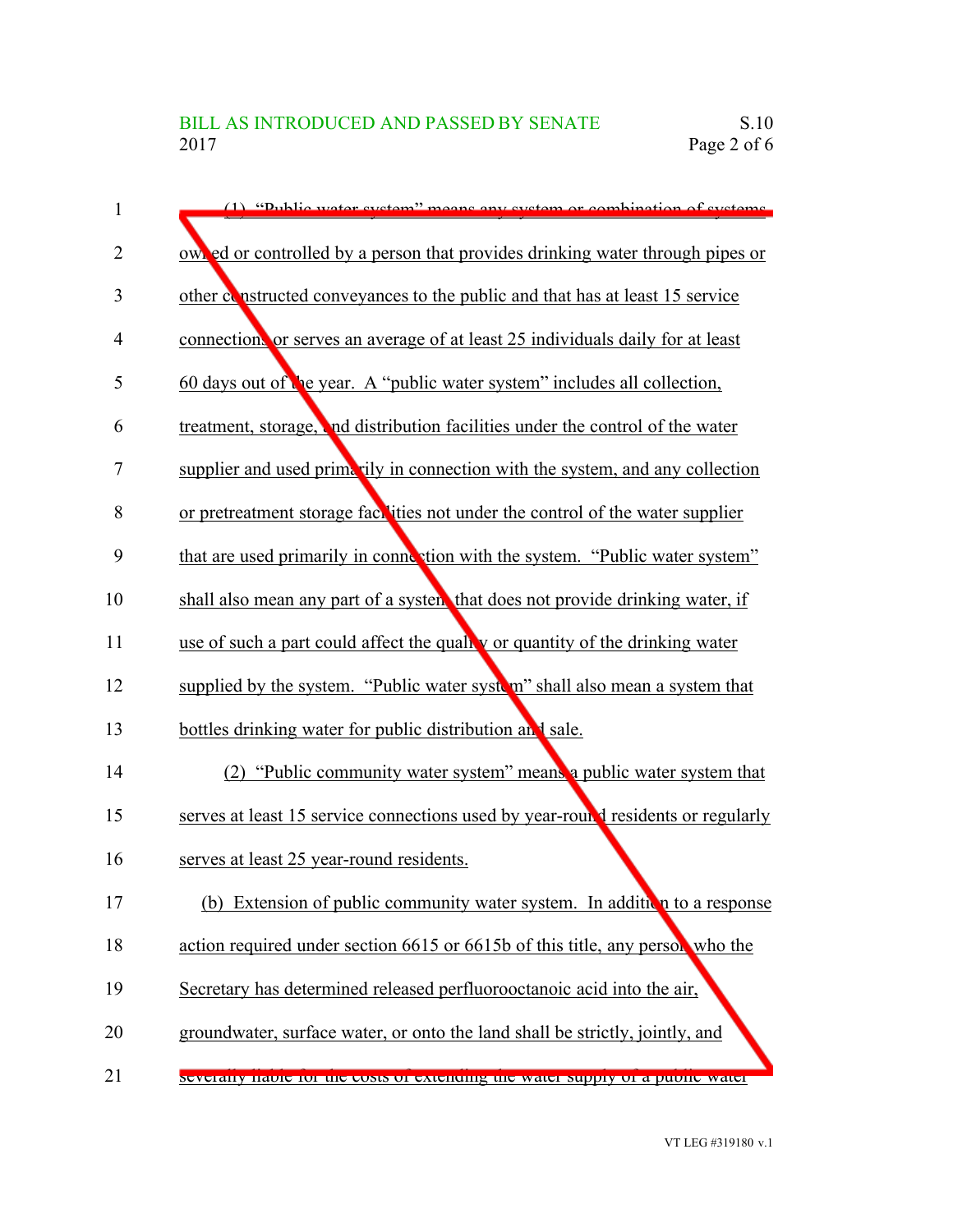| 1              | (1) "Dublic water system" means any system or combination of systems.            |
|----------------|----------------------------------------------------------------------------------|
| $\overline{2}$ | own ed or controlled by a person that provides drinking water through pipes or   |
| 3              | other constructed conveyances to the public and that has at least 15 service     |
| 4              | connection, or serves an average of at least 25 individuals daily for at least   |
| 5              | 60 days out of the year. A "public water system" includes all collection,        |
| 6              | treatment, storage, and distribution facilities under the control of the water   |
| 7              | supplier and used primarily in connection with the system, and any collection    |
| 8              | or pretreatment storage fact ities not under the control of the water supplier   |
| 9              | that are used primarily in connection with the system. "Public water system"     |
| 10             | shall also mean any part of a system that does not provide drinking water, if    |
| 11             | use of such a part could affect the quality or quantity of the drinking water    |
| 12             | supplied by the system. "Public water system" shall also mean a system that      |
| 13             | bottles drinking water for public distribution and sale.                         |
| 14             | (2) "Public community water system" means a public water system that             |
| 15             | serves at least 15 service connections used by year-round residents or regularly |
| 16             | serves at least 25 year-round residents.                                         |
| 17             | (b) Extension of public community water system. In addition to a response        |
| 18             | action required under section 6615 or 6615b of this title, any person who the    |
| 19             | Secretary has determined released perfluorooctanoic acid into the air,           |
| 20             | groundwater, surface water, or onto the land shall be strictly, jointly, and     |
| 21             | Severally habie for the costs of extending the water supply of a public water    |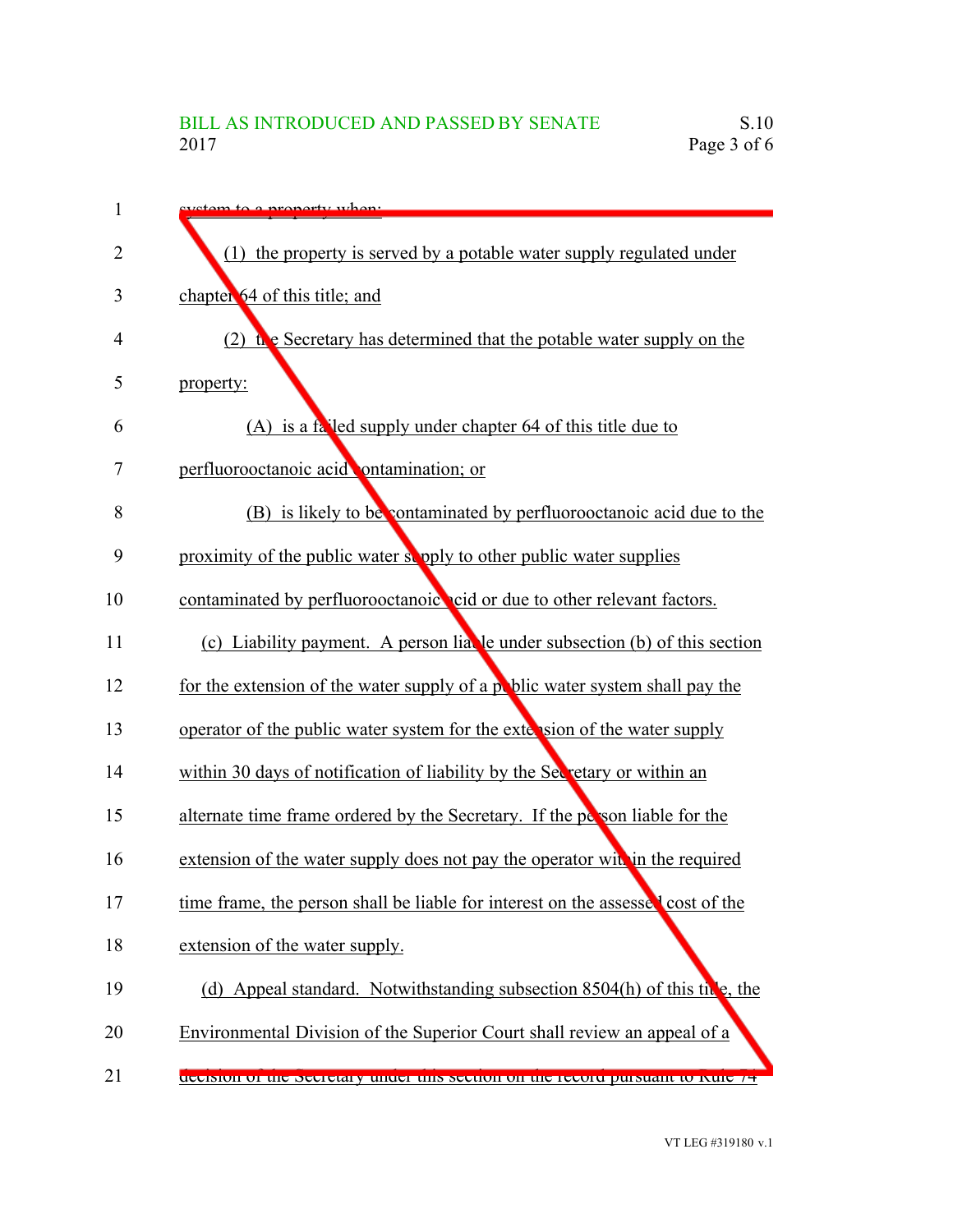| 1  | tam to a property when:                                                         |
|----|---------------------------------------------------------------------------------|
| 2  | (1) the property is served by a potable water supply regulated under            |
| 3  | chapter 64 of this title; and                                                   |
| 4  | the Secretary has determined that the potable water supply on the               |
| 5  | property:                                                                       |
| 6  | (A) is a falled supply under chapter 64 of this title due to                    |
| 7  | perfluorooctanoic acid ontamination; or                                         |
| 8  | (B) is likely to be contaminated by perfluorooctanoic acid due to the           |
| 9  | proximity of the public water supply to other public water supplies             |
| 10 | contaminated by perfluorooctanoic cid or due to other relevant factors.         |
| 11 | (c) Liability payment. A person liable under subsection (b) of this section     |
| 12 | for the extension of the water supply of a public water system shall pay the    |
| 13 | operator of the public water system for the extension of the water supply       |
| 14 | within 30 days of notification of liability by the Secretary or within an       |
| 15 | alternate time frame ordered by the Secretary. If the person liable for the     |
| 16 | extension of the water supply does not pay the operator with in the required    |
| 17 | time frame, the person shall be liable for interest on the assessed cost of the |
| 18 | extension of the water supply.                                                  |
| 19 | (d) Appeal standard. Notwithstanding subsection $8504(h)$ of this tive, the     |
| 20 | Environmental Division of the Superior Court shall review an appeal of a        |
| 21 | decision of the secretary under this section on the record pursuant to Kule 74  |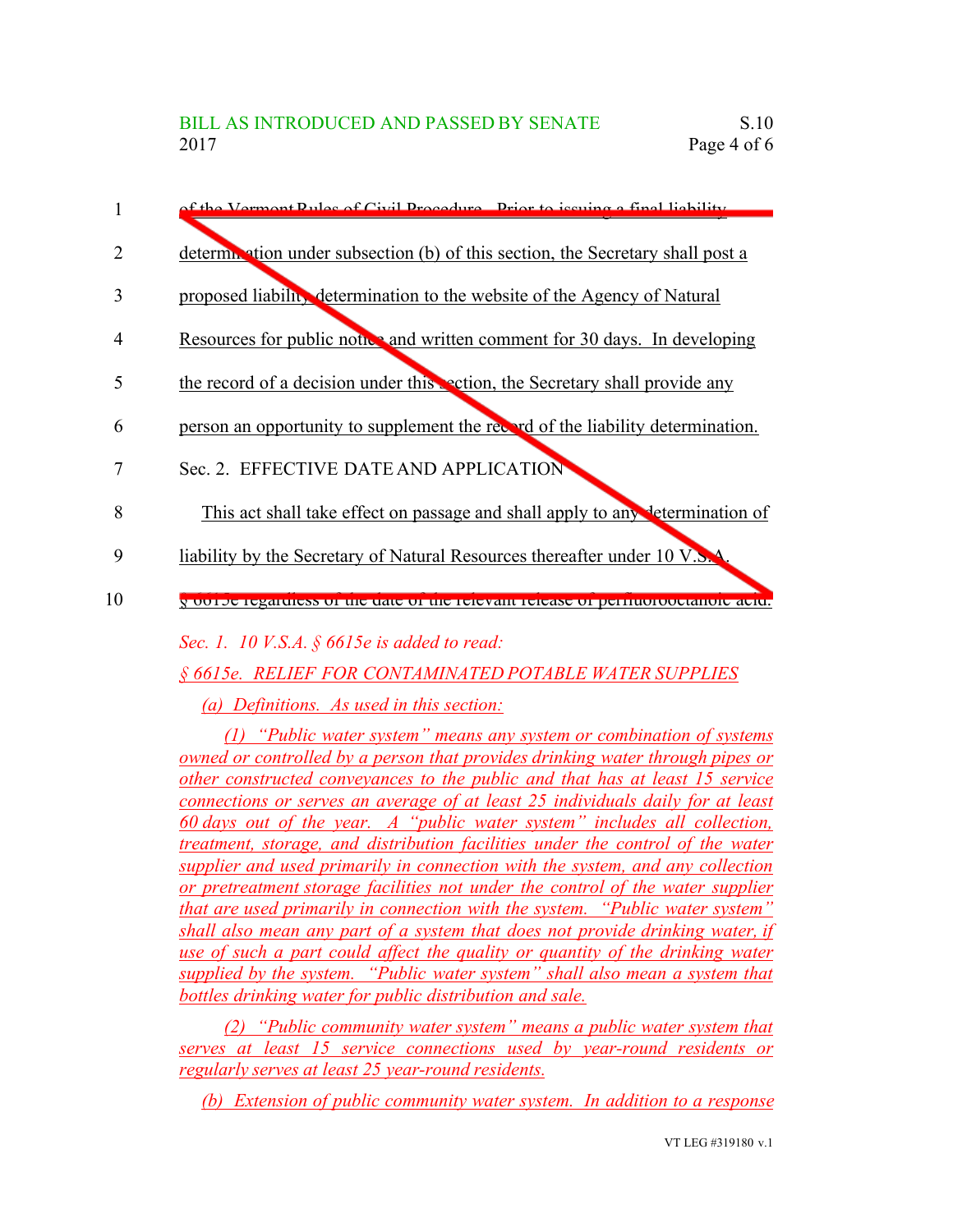|                | of the Vermont Pulse of Civil Procedure, Prior to issuing a final lightlity      |
|----------------|----------------------------------------------------------------------------------|
|                | deterministion under subsection (b) of this section, the Secretary shall post a  |
| 3              | proposed liability determination to the website of the Agency of Natural         |
| $\overline{4}$ | Resources for public notice and written comment for 30 days. In developing       |
| 5              | the record of a decision under this section, the Secretary shall provide any     |
| 6              | person an opportunity to supplement the record of the liability determination.   |
|                | Sec. 2. EFFECTIVE DATE AND APPLICATION                                           |
| 8              | This act shall take effect on passage and shall apply to any determination of    |
| 9              | liability by the Secretary of Natural Resources thereafter under 10 V.S.A.       |
| 10             | y ou de regardiess of the tate of the felevalit refease of perham fourtainmental |

*Sec. 1. 10 V.S.A. § 6615e is added to read:*

*§ 6615e. RELIEF FOR CONTAMINATED POTABLE WATER SUPPLIES*

*(a) Definitions. As used in this section:*

*(1) "Public water system" means any system or combination of systems owned or controlled by a person that provides drinking water through pipes or other constructed conveyances to the public and that has at least 15 service connections or serves an average of at least 25 individuals daily for at least 60 days out of the year. A "public water system" includes all collection, treatment, storage, and distribution facilities under the control of the water supplier and used primarily in connection with the system, and any collection or pretreatment storage facilities not under the control of the water supplier that are used primarily in connection with the system. "Public water system" shall also mean any part of a system that does not provide drinking water, if use of such a part could affect the quality or quantity of the drinking water supplied by the system. "Public water system" shall also mean a system that bottles drinking water for public distribution and sale.*

*(2) "Public community water system" means a public water system that serves at least 15 service connections used by year-round residents or regularly serves at least 25 year-round residents.*

*(b) Extension of public community water system. In addition to a response*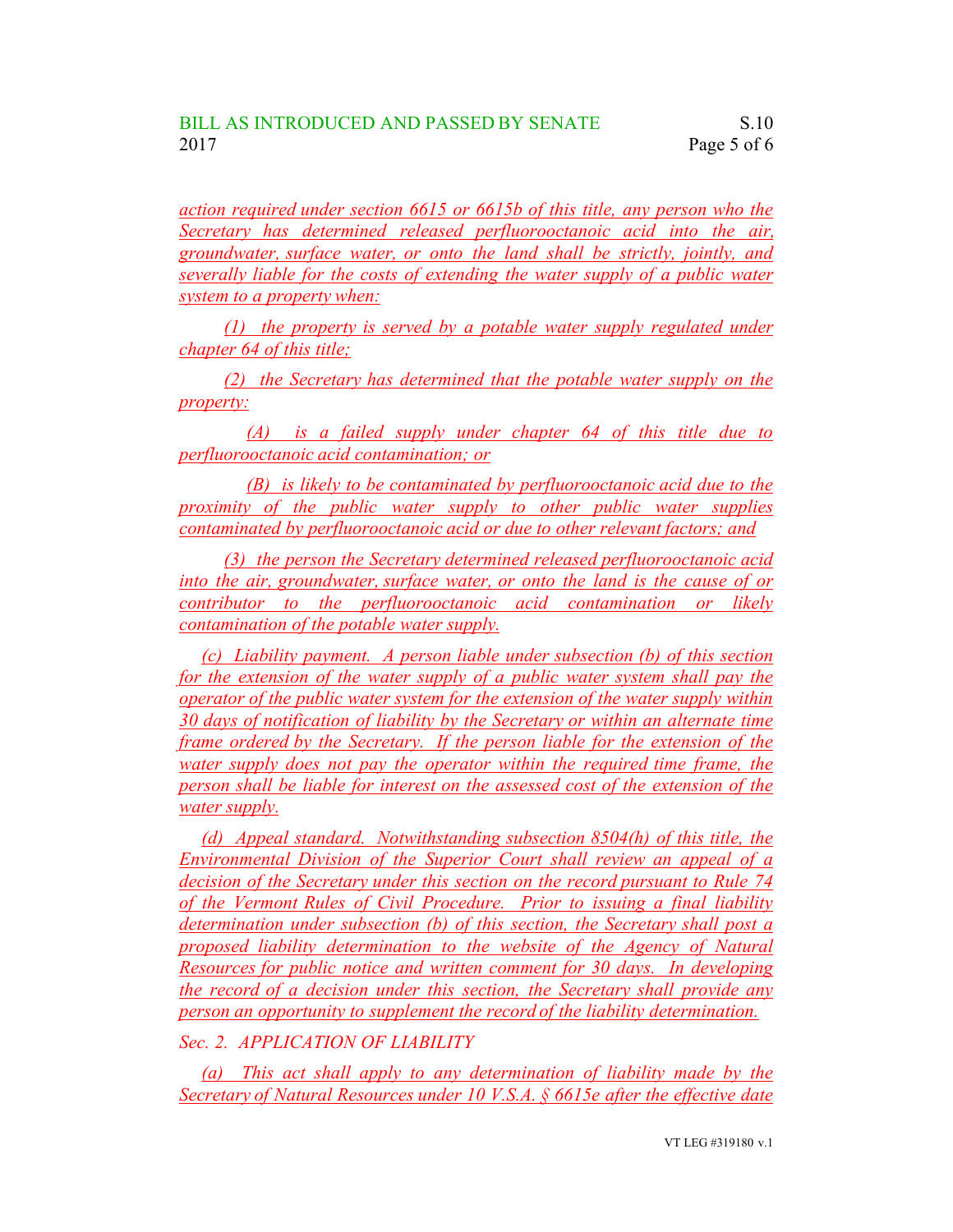*action required under section 6615 or 6615b of this title, any person who the Secretary has determined released perfluorooctanoic acid into the air, groundwater, surface water, or onto the land shall be strictly, jointly, and severally liable for the costs of extending the water supply of a public water system to a property when:*

*(1) the property is served by a potable water supply regulated under chapter 64 of this title;*

*(2) the Secretary has determined that the potable water supply on the property:*

*(A) is a failed supply under chapter 64 of this title due to perfluorooctanoic acid contamination; or*

*(B) is likely to be contaminated by perfluorooctanoic acid due to the proximity of the public water supply to other public water supplies contaminated by perfluorooctanoic acid or due to other relevant factors; and*

*(3) the person the Secretary determined released perfluorooctanoic acid into the air, groundwater, surface water, or onto the land is the cause of or contributor to the perfluorooctanoic acid contamination or likely contamination of the potable water supply.*

*(c) Liability payment. A person liable under subsection (b) of this section for the extension of the water supply of a public water system shall pay the operator of the public water system for the extension of the water supply within 30 days of notification of liability by the Secretary or within an alternate time frame ordered by the Secretary. If the person liable for the extension of the water supply does not pay the operator within the required time frame, the person shall be liable for interest on the assessed cost of the extension of the water supply.*

*(d) Appeal standard. Notwithstanding subsection 8504(h) of this title, the Environmental Division of the Superior Court shall review an appeal of a decision of the Secretary under this section on the record pursuant to Rule 74 of the Vermont Rules of Civil Procedure. Prior to issuing a final liability determination under subsection (b) of this section, the Secretary shall post a proposed liability determination to the website of the Agency of Natural Resources for public notice and written comment for 30 days. In developing the record of a decision under this section, the Secretary shall provide any person an opportunity to supplement the record of the liability determination.*

*Sec. 2. APPLICATION OF LIABILITY*

*(a) This act shall apply to any determination of liability made by the Secretary of Natural Resources under 10 V.S.A. § 6615e after the effective date*